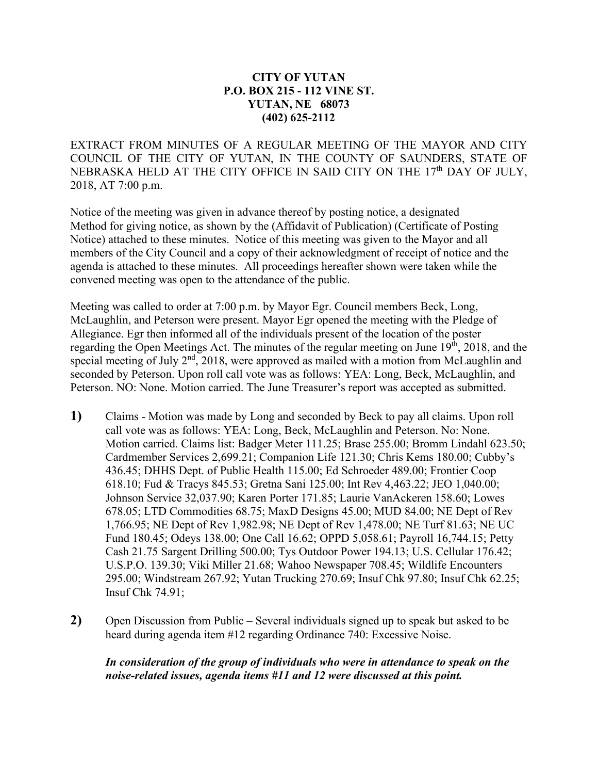## **CITY OF YUTAN P.O. BOX 215 - 112 VINE ST. YUTAN, NE 68073 (402) 625-2112**

EXTRACT FROM MINUTES OF A REGULAR MEETING OF THE MAYOR AND CITY COUNCIL OF THE CITY OF YUTAN, IN THE COUNTY OF SAUNDERS, STATE OF NEBRASKA HELD AT THE CITY OFFICE IN SAID CITY ON THE 17<sup>th</sup> DAY OF JULY, 2018, AT 7:00 p.m.

Notice of the meeting was given in advance thereof by posting notice, a designated Method for giving notice, as shown by the (Affidavit of Publication) (Certificate of Posting Notice) attached to these minutes. Notice of this meeting was given to the Mayor and all members of the City Council and a copy of their acknowledgment of receipt of notice and the agenda is attached to these minutes. All proceedings hereafter shown were taken while the convened meeting was open to the attendance of the public.

Meeting was called to order at 7:00 p.m. by Mayor Egr. Council members Beck, Long, McLaughlin, and Peterson were present. Mayor Egr opened the meeting with the Pledge of Allegiance. Egr then informed all of the individuals present of the location of the poster regarding the Open Meetings Act. The minutes of the regular meeting on June 19<sup>th</sup>, 2018, and the special meeting of July  $2<sup>nd</sup>$ , 2018, were approved as mailed with a motion from McLaughlin and seconded by Peterson. Upon roll call vote was as follows: YEA: Long, Beck, McLaughlin, and Peterson. NO: None. Motion carried. The June Treasurer's report was accepted as submitted.

- **1)** Claims Motion was made by Long and seconded by Beck to pay all claims. Upon roll call vote was as follows: YEA: Long, Beck, McLaughlin and Peterson. No: None. Motion carried. Claims list: Badger Meter 111.25; Brase 255.00; Bromm Lindahl 623.50; Cardmember Services 2,699.21; Companion Life 121.30; Chris Kems 180.00; Cubby's 436.45; DHHS Dept. of Public Health 115.00; Ed Schroeder 489.00; Frontier Coop 618.10; Fud & Tracys 845.53; Gretna Sani 125.00; Int Rev 4,463.22; JEO 1,040.00; Johnson Service 32,037.90; Karen Porter 171.85; Laurie VanAckeren 158.60; Lowes 678.05; LTD Commodities 68.75; MaxD Designs 45.00; MUD 84.00; NE Dept of Rev 1,766.95; NE Dept of Rev 1,982.98; NE Dept of Rev 1,478.00; NE Turf 81.63; NE UC Fund 180.45; Odeys 138.00; One Call 16.62; OPPD 5,058.61; Payroll 16,744.15; Petty Cash 21.75 Sargent Drilling 500.00; Tys Outdoor Power 194.13; U.S. Cellular 176.42; U.S.P.O. 139.30; Viki Miller 21.68; Wahoo Newspaper 708.45; Wildlife Encounters 295.00; Windstream 267.92; Yutan Trucking 270.69; Insuf Chk 97.80; Insuf Chk 62.25; Insuf Chk 74.91;
- **2)** Open Discussion from Public Several individuals signed up to speak but asked to be heard during agenda item #12 regarding Ordinance 740: Excessive Noise.

## *In consideration of the group of individuals who were in attendance to speak on the noise-related issues, agenda items #11 and 12 were discussed at this point.*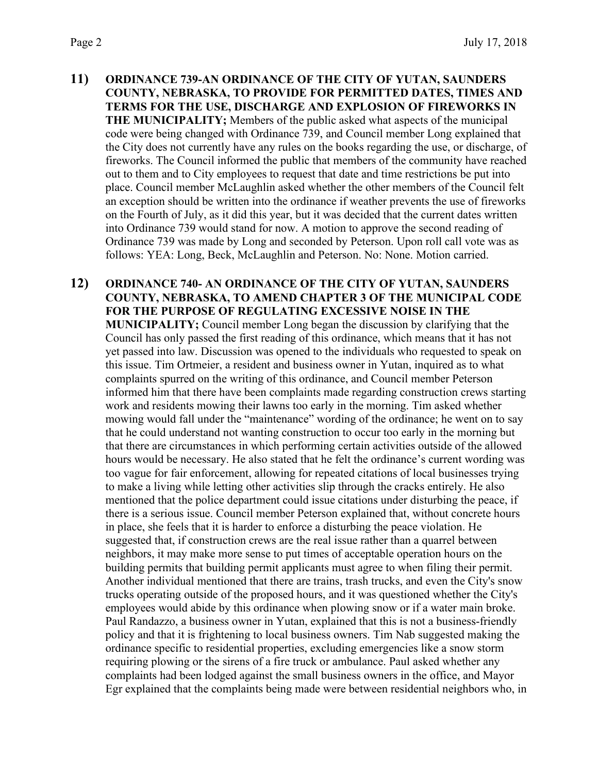- **11) ORDINANCE 739-AN ORDINANCE OF THE CITY OF YUTAN, SAUNDERS COUNTY, NEBRASKA, TO PROVIDE FOR PERMITTED DATES, TIMES AND TERMS FOR THE USE, DISCHARGE AND EXPLOSION OF FIREWORKS IN THE MUNICIPALITY;** Members of the public asked what aspects of the municipal code were being changed with Ordinance 739, and Council member Long explained that the City does not currently have any rules on the books regarding the use, or discharge, of fireworks. The Council informed the public that members of the community have reached out to them and to City employees to request that date and time restrictions be put into place. Council member McLaughlin asked whether the other members of the Council felt an exception should be written into the ordinance if weather prevents the use of fireworks on the Fourth of July, as it did this year, but it was decided that the current dates written into Ordinance 739 would stand for now. A motion to approve the second reading of Ordinance 739 was made by Long and seconded by Peterson. Upon roll call vote was as follows: YEA: Long, Beck, McLaughlin and Peterson. No: None. Motion carried.
- **12) ORDINANCE 740- AN ORDINANCE OF THE CITY OF YUTAN, SAUNDERS COUNTY, NEBRASKA, TO AMEND CHAPTER 3 OF THE MUNICIPAL CODE FOR THE PURPOSE OF REGULATING EXCESSIVE NOISE IN THE MUNICIPALITY;** Council member Long began the discussion by clarifying that the Council has only passed the first reading of this ordinance, which means that it has not yet passed into law. Discussion was opened to the individuals who requested to speak on this issue. Tim Ortmeier, a resident and business owner in Yutan, inquired as to what complaints spurred on the writing of this ordinance, and Council member Peterson informed him that there have been complaints made regarding construction crews starting work and residents mowing their lawns too early in the morning. Tim asked whether mowing would fall under the "maintenance" wording of the ordinance; he went on to say that he could understand not wanting construction to occur too early in the morning but that there are circumstances in which performing certain activities outside of the allowed hours would be necessary. He also stated that he felt the ordinance's current wording was too vague for fair enforcement, allowing for repeated citations of local businesses trying to make a living while letting other activities slip through the cracks entirely. He also mentioned that the police department could issue citations under disturbing the peace, if there is a serious issue. Council member Peterson explained that, without concrete hours in place, she feels that it is harder to enforce a disturbing the peace violation. He suggested that, if construction crews are the real issue rather than a quarrel between neighbors, it may make more sense to put times of acceptable operation hours on the building permits that building permit applicants must agree to when filing their permit. Another individual mentioned that there are trains, trash trucks, and even the City's snow trucks operating outside of the proposed hours, and it was questioned whether the City's employees would abide by this ordinance when plowing snow or if a water main broke. Paul Randazzo, a business owner in Yutan, explained that this is not a business-friendly policy and that it is frightening to local business owners. Tim Nab suggested making the ordinance specific to residential properties, excluding emergencies like a snow storm requiring plowing or the sirens of a fire truck or ambulance. Paul asked whether any complaints had been lodged against the small business owners in the office, and Mayor Egr explained that the complaints being made were between residential neighbors who, in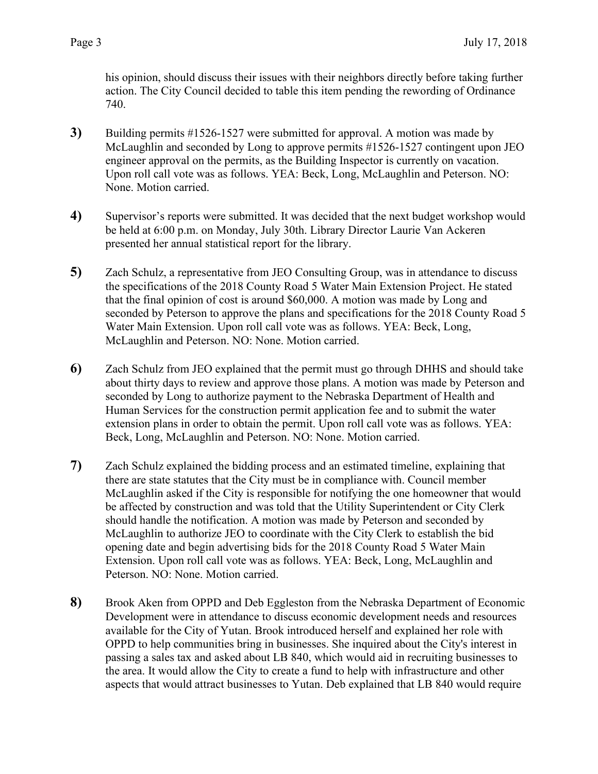his opinion, should discuss their issues with their neighbors directly before taking further action. The City Council decided to table this item pending the rewording of Ordinance 740.

- **3)** Building permits #1526-1527 were submitted for approval. A motion was made by McLaughlin and seconded by Long to approve permits #1526-1527 contingent upon JEO engineer approval on the permits, as the Building Inspector is currently on vacation. Upon roll call vote was as follows. YEA: Beck, Long, McLaughlin and Peterson. NO: None. Motion carried.
- **4)** Supervisor's reports were submitted. It was decided that the next budget workshop would be held at 6:00 p.m. on Monday, July 30th. Library Director Laurie Van Ackeren presented her annual statistical report for the library.
- **5)** Zach Schulz, a representative from JEO Consulting Group, was in attendance to discuss the specifications of the 2018 County Road 5 Water Main Extension Project. He stated that the final opinion of cost is around \$60,000. A motion was made by Long and seconded by Peterson to approve the plans and specifications for the 2018 County Road 5 Water Main Extension. Upon roll call vote was as follows. YEA: Beck, Long, McLaughlin and Peterson. NO: None. Motion carried.
- **6)** Zach Schulz from JEO explained that the permit must go through DHHS and should take about thirty days to review and approve those plans. A motion was made by Peterson and seconded by Long to authorize payment to the Nebraska Department of Health and Human Services for the construction permit application fee and to submit the water extension plans in order to obtain the permit. Upon roll call vote was as follows. YEA: Beck, Long, McLaughlin and Peterson. NO: None. Motion carried.
- **7)** Zach Schulz explained the bidding process and an estimated timeline, explaining that there are state statutes that the City must be in compliance with. Council member McLaughlin asked if the City is responsible for notifying the one homeowner that would be affected by construction and was told that the Utility Superintendent or City Clerk should handle the notification. A motion was made by Peterson and seconded by McLaughlin to authorize JEO to coordinate with the City Clerk to establish the bid opening date and begin advertising bids for the 2018 County Road 5 Water Main Extension. Upon roll call vote was as follows. YEA: Beck, Long, McLaughlin and Peterson. NO: None. Motion carried.
- **8)** Brook Aken from OPPD and Deb Eggleston from the Nebraska Department of Economic Development were in attendance to discuss economic development needs and resources available for the City of Yutan. Brook introduced herself and explained her role with OPPD to help communities bring in businesses. She inquired about the City's interest in passing a sales tax and asked about LB 840, which would aid in recruiting businesses to the area. It would allow the City to create a fund to help with infrastructure and other aspects that would attract businesses to Yutan. Deb explained that LB 840 would require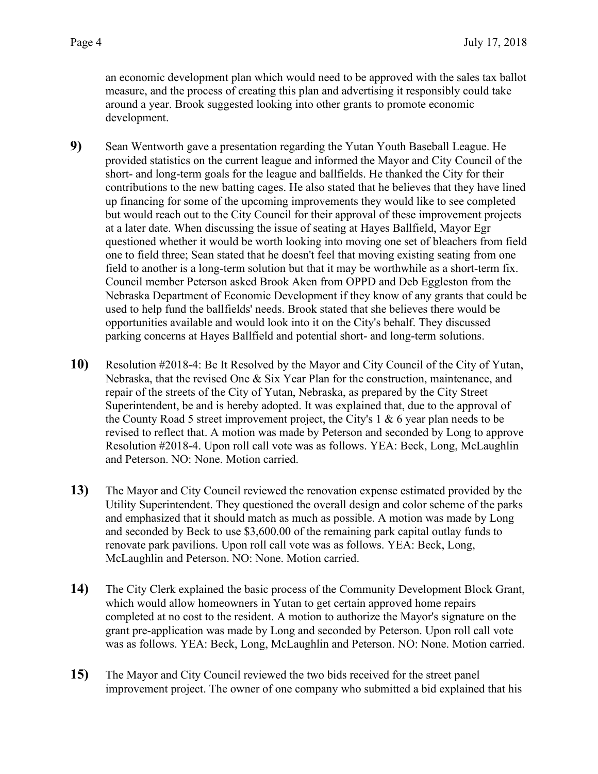an economic development plan which would need to be approved with the sales tax ballot measure, and the process of creating this plan and advertising it responsibly could take around a year. Brook suggested looking into other grants to promote economic development.

- **9)** Sean Wentworth gave a presentation regarding the Yutan Youth Baseball League. He provided statistics on the current league and informed the Mayor and City Council of the short- and long-term goals for the league and ballfields. He thanked the City for their contributions to the new batting cages. He also stated that he believes that they have lined up financing for some of the upcoming improvements they would like to see completed but would reach out to the City Council for their approval of these improvement projects at a later date. When discussing the issue of seating at Hayes Ballfield, Mayor Egr questioned whether it would be worth looking into moving one set of bleachers from field one to field three; Sean stated that he doesn't feel that moving existing seating from one field to another is a long-term solution but that it may be worthwhile as a short-term fix. Council member Peterson asked Brook Aken from OPPD and Deb Eggleston from the Nebraska Department of Economic Development if they know of any grants that could be used to help fund the ballfields' needs. Brook stated that she believes there would be opportunities available and would look into it on the City's behalf. They discussed parking concerns at Hayes Ballfield and potential short- and long-term solutions.
- **10)** Resolution #2018-4: Be It Resolved by the Mayor and City Council of the City of Yutan, Nebraska, that the revised One & Six Year Plan for the construction, maintenance, and repair of the streets of the City of Yutan, Nebraska, as prepared by the City Street Superintendent, be and is hereby adopted. It was explained that, due to the approval of the County Road 5 street improvement project, the City's 1 & 6 year plan needs to be revised to reflect that. A motion was made by Peterson and seconded by Long to approve Resolution #2018-4. Upon roll call vote was as follows. YEA: Beck, Long, McLaughlin and Peterson. NO: None. Motion carried.
- **13)** The Mayor and City Council reviewed the renovation expense estimated provided by the Utility Superintendent. They questioned the overall design and color scheme of the parks and emphasized that it should match as much as possible. A motion was made by Long and seconded by Beck to use \$3,600.00 of the remaining park capital outlay funds to renovate park pavilions. Upon roll call vote was as follows. YEA: Beck, Long, McLaughlin and Peterson. NO: None. Motion carried.
- **14)** The City Clerk explained the basic process of the Community Development Block Grant, which would allow homeowners in Yutan to get certain approved home repairs completed at no cost to the resident. A motion to authorize the Mayor's signature on the grant pre-application was made by Long and seconded by Peterson. Upon roll call vote was as follows. YEA: Beck, Long, McLaughlin and Peterson. NO: None. Motion carried.
- **15)** The Mayor and City Council reviewed the two bids received for the street panel improvement project. The owner of one company who submitted a bid explained that his